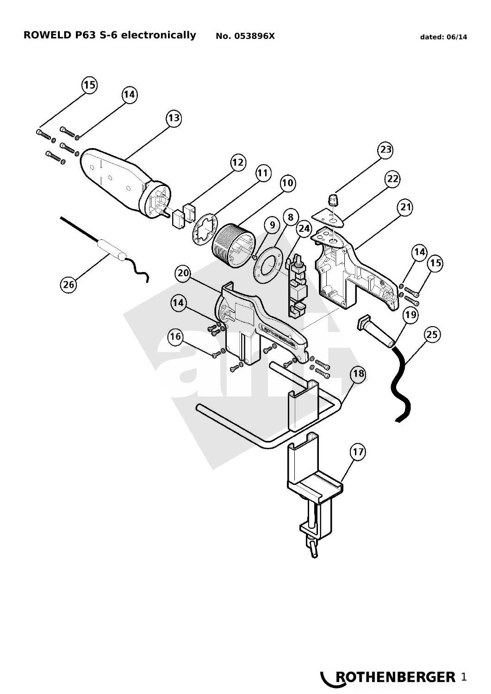

**LEOTHENBERGER 1**